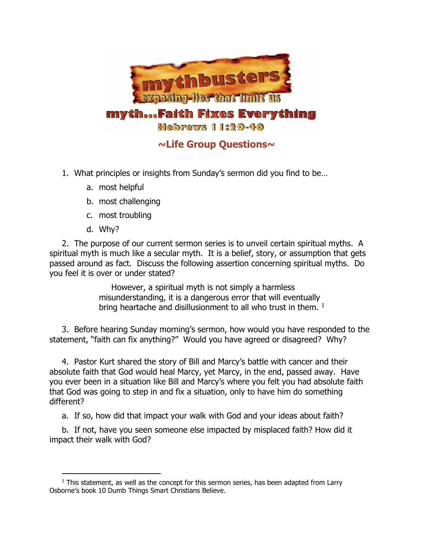

## **~Life Group Questions~**

- 1. What principles or insights from Sunday's sermon did you find to be…
	- a. most helpful
	- b. most challenging
	- c. most troubling
	- d. Why?

2. The purpose of our current sermon series is to unveil certain spiritual myths. A spiritual myth is much like a secular myth. It is a belief, story, or assumption that gets passed around as fact. Discuss the following assertion concerning spiritual myths. Do you feel it is over or under stated?

> However, a spiritual myth is not simply a harmless misunderstanding, it is a dangerous error that will eventually bring heartache and disillusionment to all who trust in them.  $1$

3. Before hearing Sunday morning's sermon, how would you have responded to the statement, "faith can fix anything?" Would you have agreed or disagreed? Why?

4. Pastor Kurt shared the story of Bill and Marcy's battle with cancer and their absolute faith that God would heal Marcy, yet Marcy, in the end, passed away. Have you ever been in a situation like Bill and Marcy's where you felt you had absolute faith that God was going to step in and fix a situation, only to have him do something different?

a. If so, how did that impact your walk with God and your ideas about faith?

b. If not, have you seen someone else impacted by misplaced faith? How did it impact their walk with God?

 $\overline{a}$  $<sup>1</sup>$  This statement, as well as the concept for this sermon series, has been adapted from Larry</sup> Osborne's book 10 Dumb Things Smart Christians Believe.